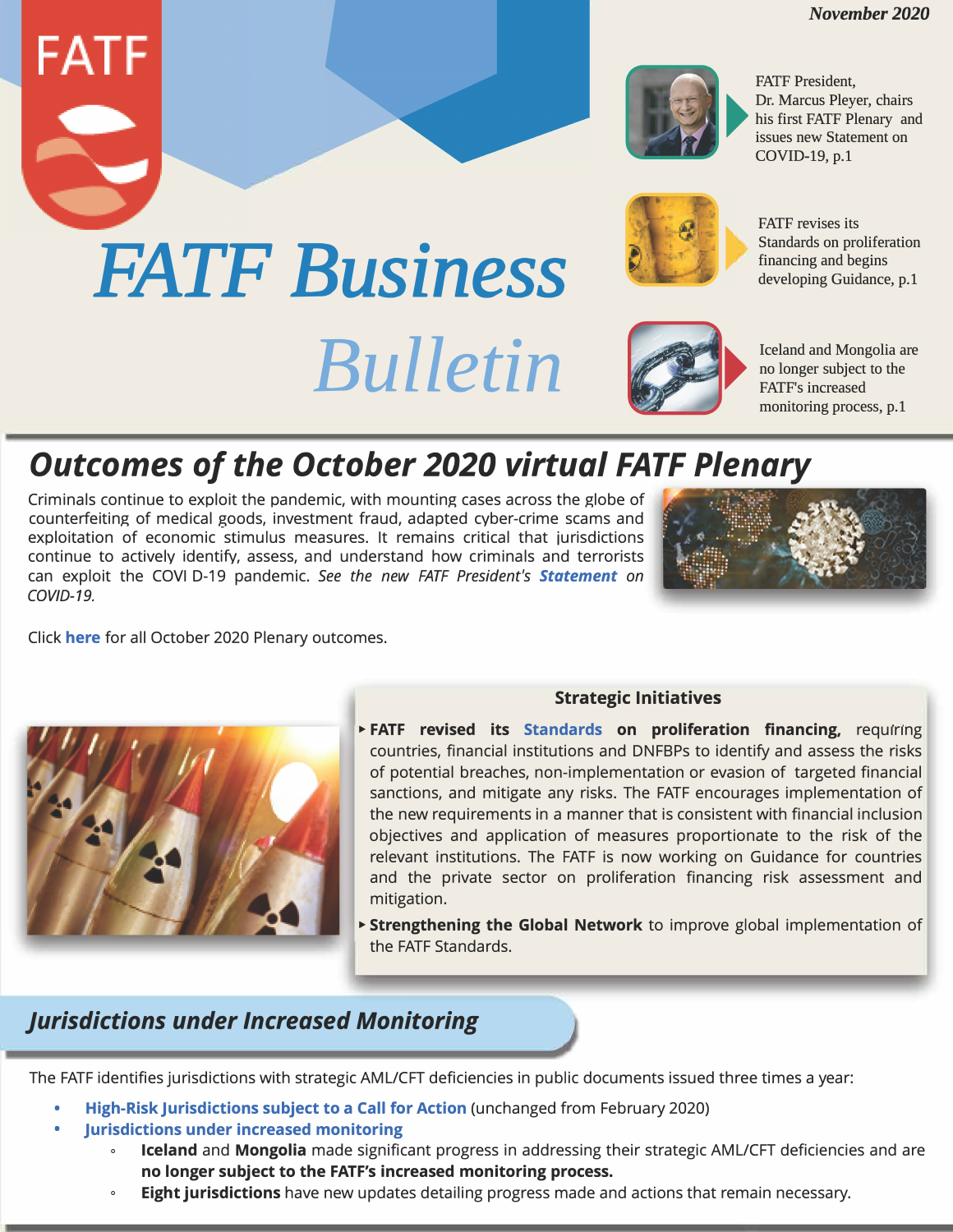



FATF President, FATF President,<br>
Dr. Marcus Pleyer, chairs<br>
his first FATF Plenary and issues new Statement on COVID-19, p.1



FATF revises its Standards on proliferation financing and begins developing Guidance, p.1

# *FATF Business Bulletin*



Iceland and Mongolia are no longer subject to the FATF's increased monitoring process, p.1

# *Outcomes of the October 2020 virtual FATF Plenary*

Criminals continue to exploit the pandemic, with mounting cases across the globe of counterfeiting of medical goods, investment fraud, adapted cyber-crime scams and exploitation of economic stimulus measures. It remains critical that jurisdictions continue to actively identify, assess, and understand how criminals and terrorists can exploit the COVI D-19 pandemic. *See the new FATF President's [Statement](https://www.fatf-gafi.org/publications/fatfgeneral/documents/covid-19-impact-oct-2020.html) on COVID-19.*



Click **[here](http://www.fatf-gafi.org/publications/fatfgeneral/documents/outcomes-fatf-plenary-october-2020.html)** for all October 2020 Plenary outcomes.



#### **Strategic Initiatives**

- ► **FATF revised its [Standards](http://www.fatf-gafi.org/publications/fatfrecommendations/documents/fatf-recommendations.html) on proliferation financing, requiring** countries, financial institutions and DNFBPs to identify and assess the risks of potential breaches, non-implementation or evasion of targeted financial sanctions, and mitigate any risks. The FATF encourages implementation of the new requirements in a manner that is consistent with financial inclusion objectives and application of measures proportionate to the risk of the relevant institutions. The FATF is now working on Guidance for countries and the private sector on proliferation financing risk assessment and mitigation.
- ► **Strengthening the Global Network** to improve global implementation of the FATF Standards.

# *Jurisdictions under Increased Monitoring*

The FATF identifies jurisdictions with strategic AML/CFT deficiencies in public documents issued three times a year:

- **[High-Risk Jurisdictions subject to a Call for Action](http://www.fatf-gafi.org/publications/high-risk-and-other-monitored-jurisdictions/documents/call-for-action-october-2020.html)** (unchanged from February 2020)
- **[Jurisdictions under increased monitoring](http://www.fatf-gafi.org/publications/high-risk-and-other-monitored-jurisdictions/documents/increased-monitoring-october-2020.html)**
	- **Iceland** and **Mongolia** made significant progress in addressing their strategic AML/CFT deficiencies and are **no longer subject to the FATF's increased monitoring process.**
	- **Eight jurisdictions** have new updates detailing progress made and actions that remain necessary.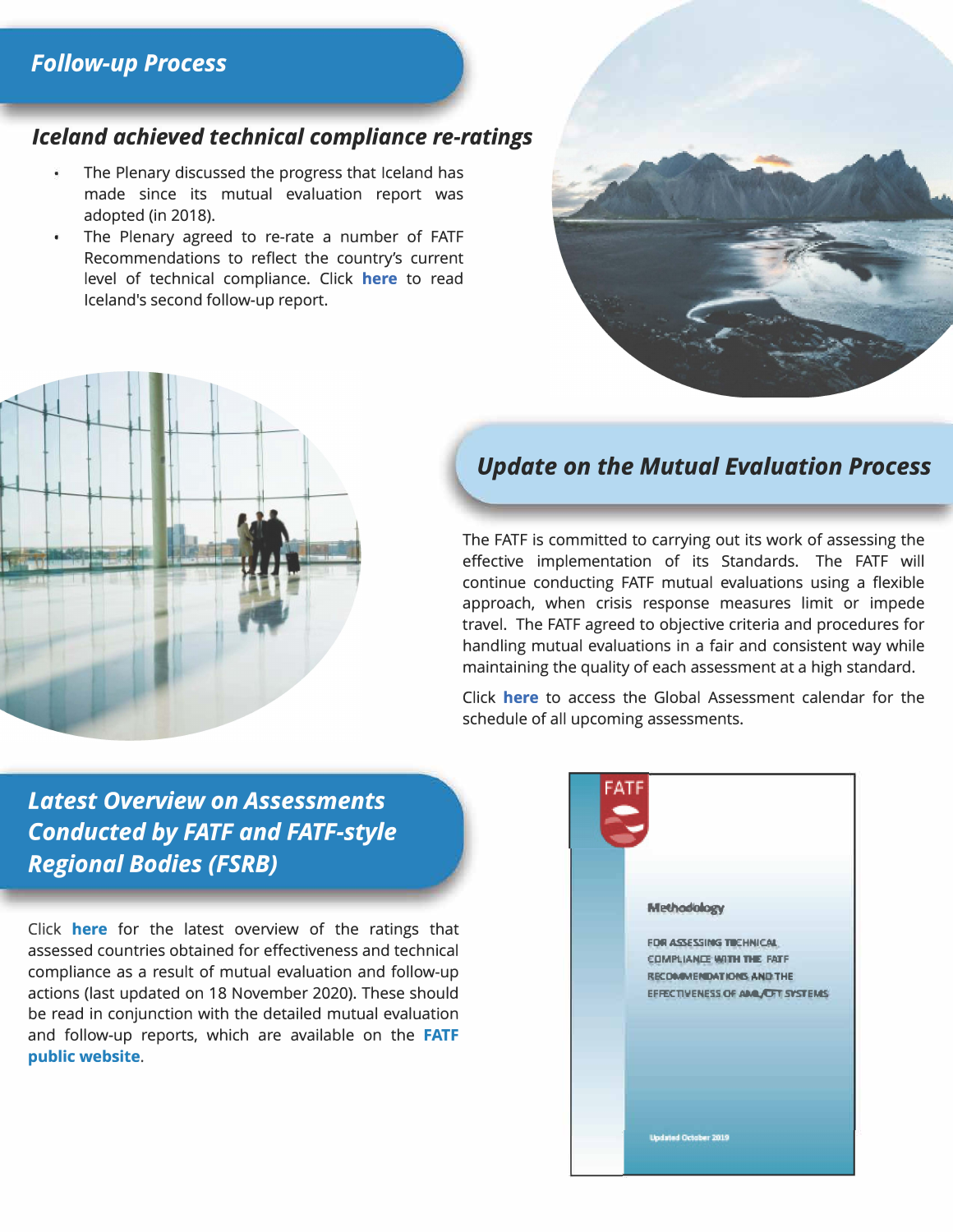### *Follow-up Process*

#### *Iceland achieved technical compliance re-ratings*

- The Plenary discussed the progress that Iceland has made since its mutual evaluation report was adopted (in 2018).
- The Plenary agreed to re-rate a number of FATF Recommendations to reflect the country's current level of technical compliance. Click **[here](http://www.fatf-gafi.org/publications/mutualevaluations/documents/fur-iceland-2020.html)** to read Iceland's second follow-up report.





# *Update on the Mutual Evaluation Process*

The FATF is committed to carrying out its work of assessing the effective implementation of its Standards. The FATF will continue conducting FATF mutual evaluations using a flexible approach, when crisis response measures limit or impede travel. The FATF agreed to objective criteria and procedures for handling mutual evaluations in a fair and consistent way while maintaining the quality of each assessment at a high standard.

Click **[here](http://www.fatf-gafi.org/calendar/assessmentcalendar/?hf=10&b=0&s=asc(document_lastmodifieddate)&table=1)** to access the Global Assessment calendar for the schedule of all upcoming assessments.

*Latest Overview on Assessments Conducted by FATF and FATF-style Regional Bodies (FSRBJ* 

Click **[here](http://www.fatf-gafi.org/publications/mutualevaluations/documents/assessment-ratings.html)** for the latest overview of the ratings that assessed countries obtained for effectiveness and technical compliance as a result of mutual evaluation and follow-up actions (last updated on 18 November 2020). These should be read in conjunction with the detailed mutual evaluation and follow-up reports, which are available on the **[FATF](http://www.fatf-gafi.org/home/)  [public website](http://www.fatf-gafi.org/home/).**